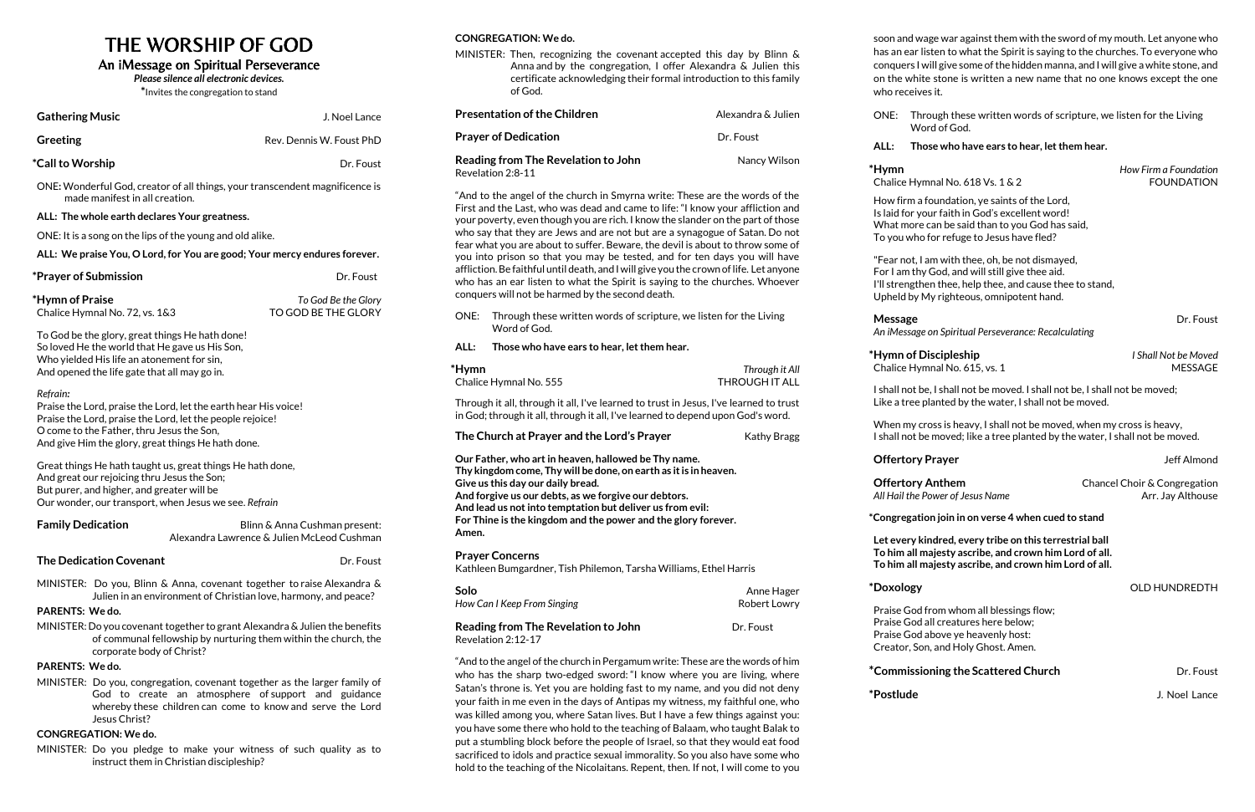# THE WORSHIP OF GOD

## An iMessage on Spiritual Perseverance

*Please silence all electronic devices.*

**\***Invites the congregation to stand

| <b>Gathering Music</b>                                                                                                                                                                                           |                                                                                                                | J. Noel Lance                                                                                                                                                                                  | ۲r                          |
|------------------------------------------------------------------------------------------------------------------------------------------------------------------------------------------------------------------|----------------------------------------------------------------------------------------------------------------|------------------------------------------------------------------------------------------------------------------------------------------------------------------------------------------------|-----------------------------|
| <b>Greeting</b>                                                                                                                                                                                                  |                                                                                                                | Rev. Dennis W. Foust PhD                                                                                                                                                                       | Pr                          |
| *Call to Worship                                                                                                                                                                                                 |                                                                                                                | Dr. Foust                                                                                                                                                                                      | Re                          |
|                                                                                                                                                                                                                  | ONE: Wonderful God, creator of all things, your transcendent magnificence is<br>made manifest in all creation. |                                                                                                                                                                                                | Re<br>$^{\prime\prime}$ A   |
| ALL: The whole earth declares Your greatness.                                                                                                                                                                    |                                                                                                                | Fir<br>yo                                                                                                                                                                                      |                             |
|                                                                                                                                                                                                                  | ONE: It is a song on the lips of the young and old alike.                                                      |                                                                                                                                                                                                | wł                          |
|                                                                                                                                                                                                                  | ALL: We praise You, O Lord, for You are good; Your mercy endures forever.                                      |                                                                                                                                                                                                | fea<br>yo                   |
|                                                                                                                                                                                                                  |                                                                                                                |                                                                                                                                                                                                | aff                         |
| *Prayer of Submission                                                                                                                                                                                            |                                                                                                                | Dr. Foust                                                                                                                                                                                      | wł                          |
| *Hymn of Praise<br>Chalice Hymnal No. 72, vs. 1&3                                                                                                                                                                |                                                                                                                | To God Be the Glory<br>TO GOD BE THE GLORY                                                                                                                                                     | co<br>OI                    |
| To God be the glory, great things He hath done!<br>So loved He the world that He gave us His Son,<br>Who yielded His life an atonement for sin,                                                                  |                                                                                                                |                                                                                                                                                                                                | Al<br>*H,                   |
|                                                                                                                                                                                                                  | And opened the life gate that all may go in.                                                                   |                                                                                                                                                                                                | Cł                          |
| Refrain:<br>Praise the Lord, praise the Lord, let the earth hear His voice!<br>Praise the Lord, praise the Lord, let the people rejoice!                                                                         |                                                                                                                |                                                                                                                                                                                                | Th<br>in                    |
| O come to the Father, thru Jesus the Son,<br>And give Him the glory, great things He hath done.                                                                                                                  |                                                                                                                |                                                                                                                                                                                                | Tł                          |
| Great things He hath taught us, great things He hath done,<br>And great our rejoicing thru Jesus the Son;<br>But purer, and higher, and greater will be<br>Our wonder, our transport, when Jesus we see. Refrain |                                                                                                                |                                                                                                                                                                                                | Οı<br>Th<br>Gi<br>Ar<br>Ar  |
| <b>Family Dedication</b>                                                                                                                                                                                         |                                                                                                                | Blinn & Anna Cushman present:                                                                                                                                                                  | Fo<br>Ar                    |
|                                                                                                                                                                                                                  |                                                                                                                | Alexandra Lawrence & Julien McLeod Cushman                                                                                                                                                     |                             |
|                                                                                                                                                                                                                  | <b>The Dedication Covenant</b>                                                                                 | Dr. Foust                                                                                                                                                                                      | Pr<br>Κa                    |
|                                                                                                                                                                                                                  | Julien in an environment of Christian love, harmony, and peace?                                                | MINISTER: Do you, Blinn & Anna, covenant together to raise Alexandra &                                                                                                                         | <b>Sc</b><br>Hc             |
| PARENTS: We do.                                                                                                                                                                                                  |                                                                                                                |                                                                                                                                                                                                |                             |
|                                                                                                                                                                                                                  | corporate body of Christ?                                                                                      | MINISTER: Do you covenant together to grant Alexandra & Julien the benefits<br>of communal fellowship by nurturing them within the church, the                                                 | R<br>Re                     |
| PARENTS: We do.                                                                                                                                                                                                  |                                                                                                                |                                                                                                                                                                                                | $^{\prime\prime}$ A         |
|                                                                                                                                                                                                                  | Jesus Christ?                                                                                                  | MINISTER: Do you, congregation, covenant together as the larger family of<br>God to create an atmosphere of support and guidance<br>whereby these children can come to know and serve the Lord | wł<br>Sa<br>yo<br><b>Wa</b> |
| <b>CONGREGATION: We do.</b>                                                                                                                                                                                      |                                                                                                                | yo                                                                                                                                                                                             |                             |
|                                                                                                                                                                                                                  | instruct them in Christian discipleship?                                                                       | MINISTER: Do you pledge to make your witness of such quality as to                                                                                                                             | pu<br>sa                    |

"And to the angel of the church in Smyrna write: These are the words of the rst and the Last, who was dead and came to life: "I know your affliction and your poverty, even though you are rich. I know the slander on the part of those ho say that they are Jews and are not but are a synagogue of Satan. Do not ar what you are about to suffer. Beware, the devil is about to throw some of you into prison so that you may be tested, and for ten days you will have fliction. Be faithful until death, and I will give you the crown of life. Let anyone ho has an ear listen to what the Spirit is saying to the churches. Whoever onquers will not be harmed by the second death.

NE: Through these written words of scripture, we listen for the Living Word of God.

#### **CONGREGATION: We do.**

#### MINISTER: Then, recognizing the covenant accepted this day by Blinn & Anna and by the congregation, I offer Alexandra & Julien this certificate acknowledging their formal introduction to this family of God. **Presentation of the Children** Alexandra & Julien

| Alexandra & Julien |
|--------------------|
| Dr. Foust          |
| Nancy Wilson       |
|                    |

**\*Hymn of Discipleship** *I Shall Not be Moved* Chalice Hymnal No. 615, vs. 1 MESSAGE

#### **ALL: Those who have ears to hear, let them hear.**

| *Hymn<br>Chalice Hymnal No. 555                                                                                                                                                                                                                                                                                                                              | Through it All<br>THROUGH IT ALL |  |  |  |
|--------------------------------------------------------------------------------------------------------------------------------------------------------------------------------------------------------------------------------------------------------------------------------------------------------------------------------------------------------------|----------------------------------|--|--|--|
| Through it all, through it all, I've learned to trust in Jesus, I've learned to trust<br>in God; through it all, through it all, I've learned to depend upon God's word.                                                                                                                                                                                     |                                  |  |  |  |
| The Church at Prayer and the Lord's Prayer                                                                                                                                                                                                                                                                                                                   | Kathy Bragg                      |  |  |  |
| Our Father, who art in heaven, hallowed be Thy name.<br>Thy kingdom come, Thy will be done, on earth as it is in heaven.<br>Give us this day our daily bread.<br>And forgive us our debts, as we forgive our debtors.<br>And lead us not into temptation but deliver us from evil:<br>For Thine is the kingdom and the power and the glory forever.<br>Amen. |                                  |  |  |  |
| <b>Prayer Concerns</b><br>Kathleen Bumgardner, Tish Philemon, Tarsha Williams, Ethel Harris                                                                                                                                                                                                                                                                  |                                  |  |  |  |
| Solo<br>How Can I Keep From Singing                                                                                                                                                                                                                                                                                                                          | Anne Hager<br>Robert Lowry       |  |  |  |
| Reading from The Revelation to John<br>Revelation 2:12-17                                                                                                                                                                                                                                                                                                    | Dr. Foust                        |  |  |  |

"And to the angel of the church in Pergamum write: These are the words of him ho has the sharp two-edged sword: "I know where you are living, where atan's throne is. Yet you are holding fast to my name, and you did not deny your faith in me even in the days of Antipas my witness, my faithful one, who was killed among you, where Satan lives. But I have a few things against you: you have some there who hold to the teaching of Balaam, who taught Balak to ut a stumbling block before the people of Israel, so that they would eat food sacrificed to idols and practice sexual immorality. So you also have some who hold to the teaching of the Nicolaitans. Repent, then. If not, I will come to you

soon and wage war against them with the sword of my mouth. Let anyone who has an ear listen to what the Spirit is saying to the churches. To everyone who conquers I will give some of the hidden manna, and I will give a white stone, and on the white stone is written a new name that no one knows except the one who receives it.

ONE: Through these written words of scripture, we listen for the Living Word of God.

### **ALL: Those who have ears to hear, let them hear.**

Chalice Hymnal No. 618 Vs. 1 & 2 FOUNDATION

**\*Hymn** *How Firm a Foundation*

How firm a foundation, ye saints of the Lord, Is laid for your faith in God's excellent word! What more can be said than to you God has said, To you who for refuge to Jesus have fled?

"Fear not, I am with thee, oh, be not dismayed, For I am thy God, and will still give thee aid. I'll strengthen thee, help thee, and cause thee to stand, Upheld by My righteous, omnipotent hand.

**Message** Dr. Foust

*An iMessage on Spiritual Perseverance: Recalculating*

I shall not be, I shall not be moved. I shall not be, I shall not be moved; Like a tree planted by the water, I shall not be moved.

When my cross is heavy, I shall not be moved, when my cross is heavy, I shall not be moved; like a tree planted by the water, I shall not be moved.

**Offertory Prayer and School School School School School School School School School School School School School** 

**Offertory Anthem** Chancel Choir & Congregation All *Hail* the Power of Jesus Name Arr. Jay Althouse

**\*Congregation join in on verse 4 when cued to stand**

**Let every kindred, every tribe on this terrestrial ball To him all majesty ascribe, and crown him Lord of all. To him all majesty ascribe, and crown him Lord of all.**

### **\*Doxology** OLD HUNDREDTH

Praise God from whom all blessings flow; Praise God all creatures here below; Praise God above ye heavenly host: Creator, Son, and Holy Ghost. Amen.

### **\*Commissioning the Scattered Church** Dr. Foust

**\*Postlude** J. Noel Lance